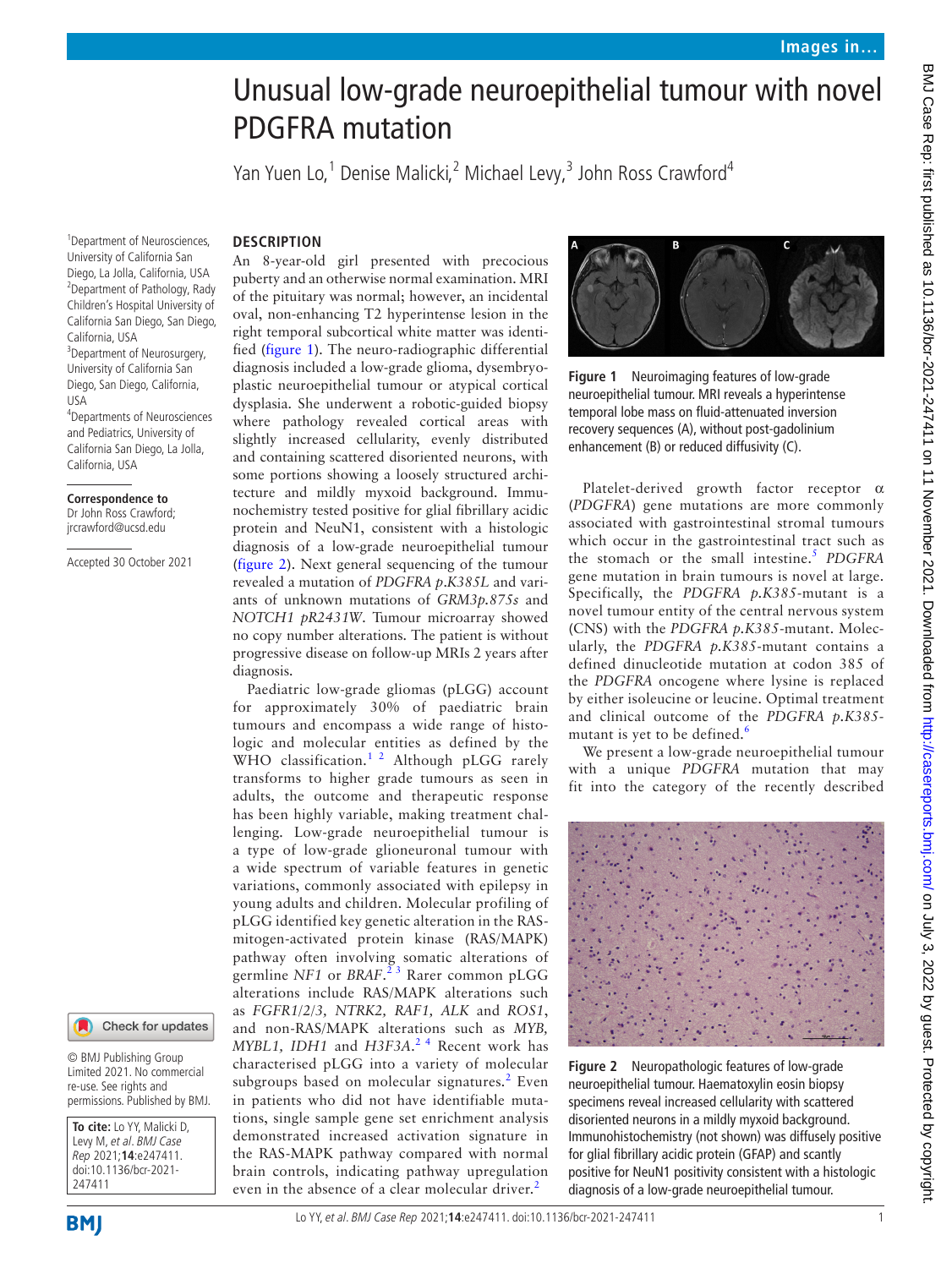# Unusual low-grade neuroepithelial tumour with novel PDGFRA mutation

Yan Yuen Lo,<sup>1</sup> Denise Malicki,<sup>2</sup> Michael Levy,<sup>3</sup> John Ross Crawford<sup>4</sup>

## **DESCRIPTION**

diagnosis.

1 Department of Neurosciences, University of California San Diego, La Jolla, California, USA 2 Department of Pathology, Rady Children's Hospital University of California San Diego, San Diego, California, USA 3 Department of Neurosurgery, University of California San Diego, San Diego, California, USA 4 Departments of Neurosciences and Pediatrics, University of California San Diego, La Jolla, California, USA

#### **Correspondence to**

Dr John Ross Crawford; jrcrawford@ucsd.edu

Accepted 30 October 2021

### Check for updates

© BMJ Publishing Group Limited 2021. No commercial re-use. See rights and permissions. Published by BMJ.

| To cite: Lo YY, Malicki D,                                                        |
|-----------------------------------------------------------------------------------|
| Levy M, et al. BMJ Case<br>Rep 2021; <b>14</b> :e247411.<br>doi:10.1136/bcr-2021- |
|                                                                                   |
|                                                                                   |
| 247411                                                                            |

An 8-year-old girl presented with precocious puberty and an otherwise normal examination. MRI of the pituitary was normal; however, an incidental oval, non-enhancing T2 hyperintense lesion in the right temporal subcortical white matter was identified [\(figure](#page-0-0) 1). The neuro-radiographic differential diagnosis included a low-grade glioma, dysembryoplastic neuroepithelial tumour or atypical cortical dysplasia. She underwent a robotic-guided biopsy where pathology revealed cortical areas with slightly increased cellularity, evenly distributed and containing scattered disoriented neurons, with some portions showing a loosely structured architecture and mildly myxoid background. Immunochemistry tested positive for glial fibrillary acidic protein and NeuN1, consistent with a histologic diagnosis of a low-grade neuroepithelial tumour ([figure](#page-0-1) 2). Next general sequencing of the tumour revealed a mutation of *PDGFRA p*.*K385L* and variants of unknown mutations of *GRM3p.875s* and *NOTCH1 pR2431W*. Tumour microarray showed no copy number alterations. The patient is without progressive disease on follow-up MRIs 2 years after

Paediatric low-grade gliomas (pLGG) account for approximately 30% of paediatric brain tumours and encompass a wide range of histologic and molecular entities as defined by the WHO classification.<sup>1 2</sup> Although pLGG rarely transforms to higher grade tumours as seen in adults, the outcome and therapeutic response has been highly variable, making treatment challenging. Low-grade neuroepithelial tumour is a type of low-grade glioneuronal tumour with a wide spectrum of variable features in genetic variations, commonly associated with epilepsy in young adults and children. Molecular profiling of pLGG identified key genetic alteration in the RASmitogen-activated protein kinase (RAS/MAPK) pathway often involving somatic alterations of germline *NF1* or *BRAF*. [2 3](#page-1-1) Rarer common pLGG alterations include RAS/MAPK alterations such as *FGFR1/2/3, NTRK2, RAF1, ALK* and *ROS1*, and non-RAS/MAPK alterations such as *MYB, MYBL1, IDH1* and *H3F3A*. [2 4](#page-1-1) Recent work has characterised pLGG into a variety of molecular subgroups based on molecular signatures.<sup>[2](#page-1-1)</sup> Even in patients who did not have identifiable mutations, single sample gene set enrichment analysis demonstrated increased activation signature in the RAS-MAPK pathway compared with normal brain controls, indicating pathway upregulation even in the absence of a clear molecular driver.<sup>[2](#page-1-1)</sup>



<span id="page-0-0"></span>**Figure 1** Neuroimaging features of low-grade neuroepithelial tumour. MRI reveals a hyperintense temporal lobe mass on fluid-attenuated inversion recovery sequences (A), without post-gadolinium enhancement (B) or reduced diffusivity (C).

Platelet-derived growth factor receptor  $\alpha$ (*PDGFRA*) gene mutations are more commonly associated with gastrointestinal stromal tumours which occur in the gastrointestinal tract such as the stomach or the small intestine.[5](#page-1-2) *PDGFRA* gene mutation in brain tumours is novel at large. Specifically, the *PDGFRA p.K385*-mutant is a novel tumour entity of the central nervous system (CNS) with the *PDGFRA p.K385*-mutant. Molecularly, the *PDGFRA p.K385*-mutant contains a defined dinucleotide mutation at codon 385 of the *PDGFRA* oncogene where lysine is replaced by either isoleucine or leucine. Optimal treatment and clinical outcome of the *PDGFRA p.K385*- mutant is yet to be defined.<sup>[6](#page-1-3)</sup>

We present a low-grade neuroepithelial tumour with a unique *PDGFRA* mutation that may fit into the category of the recently described

<span id="page-0-1"></span>

**Figure 2** Neuropathologic features of low-grade neuroepithelial tumour. Haematoxylin eosin biopsy specimens reveal increased cellularity with scattered disoriented neurons in a mildly myxoid background. Immunohistochemistry (not shown) was diffusely positive for glial fibrillary acidic protein (GFAP) and scantly positive for NeuN1 positivity consistent with a histologic diagnosis of a low-grade neuroepithelial tumour.